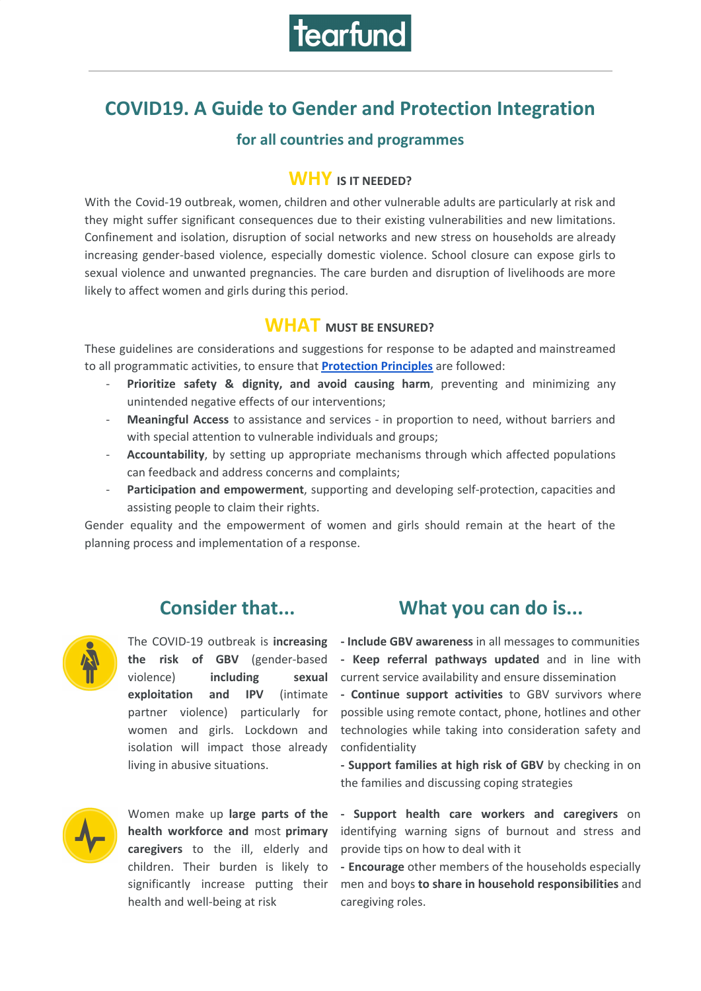

# **COVID19. A Guide to Gender and Protection Integration**

#### **for all countries and programmes**

#### **WHY IS IT NEEDED?**

With the Covid-19 outbreak, women, children and other vulnerable adults are particularly at risk and they might suffer significant consequences due to their existing vulnerabilities and new limitations. Confinement and isolation, disruption of social networks and new stress on households are already increasing gender-based violence, especially domestic violence. School closure can expose girls to sexual violence and unwanted pregnancies. The care burden and disruption of livelihoods are more likely to affect women and girls during this period.

### **WHAT MUST BE ENSURED?**

These guidelines are considerations and suggestions for response to be adapted and mainstreamed to all programmatic activities, to ensure that **[Protection](https://www.globalprotectioncluster.org/themes/protection-mainstreaming/) Principles** are followed:

- **Prioritize safety & dignity, and avoid causing harm**, preventing and minimizing any unintended negative effects of our interventions;
- **Meaningful Access** to assistance and services in proportion to need, without barriers and with special attention to vulnerable individuals and groups;
- **Accountability**, by setting up appropriate mechanisms through which affected populations can feedback and address concerns and complaints;
- **Participation and empowerment**, supporting and developing self-protection, capacities and assisting people to claim their rights.

Gender equality and the empowerment of women and girls should remain at the heart of the planning process and implementation of a response.



**the risk of GBV** (gender-based violence) **including sexual exploitation** and **IPV** partner violence) particularly for women and girls. Lockdown and isolation will impact those already living in abusive situations.



Women make up **large parts of the health workforce and** most **primary caregivers** to the ill, elderly and children. Their burden is likely to significantly increase putting their health and well-being at risk

## **Consider that... What you can do is...**

The COVID-19 outbreak is **increasing - Include GBV awareness** in all messages to communities **- Keep referral pathways updated** and in line with current service availability and ensure dissemination

> **- Continue support activities** to GBV survivors where possible using remote contact, phone, hotlines and other technologies while taking into consideration safety and confidentiality

> > **- Support families at high risk of GBV** by checking in on the families and discussing coping strategies

> > **- Support health care workers and caregivers** on identifying warning signs of burnout and stress and provide tips on how to deal with it

> > **- Encourage** other members of the households especially men and boys **to share in household responsibilities** and caregiving roles.